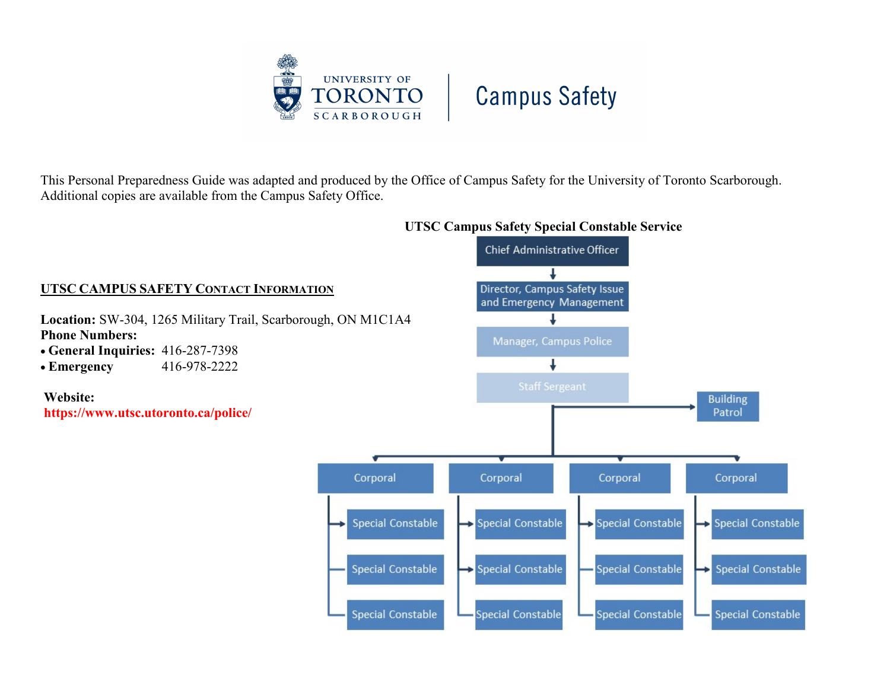

This Personal Preparedness Guide was adapted and produced by the Office of Campus Safety for the University of Toronto Scarborough. Additional copies are available from the Campus Safety Office.

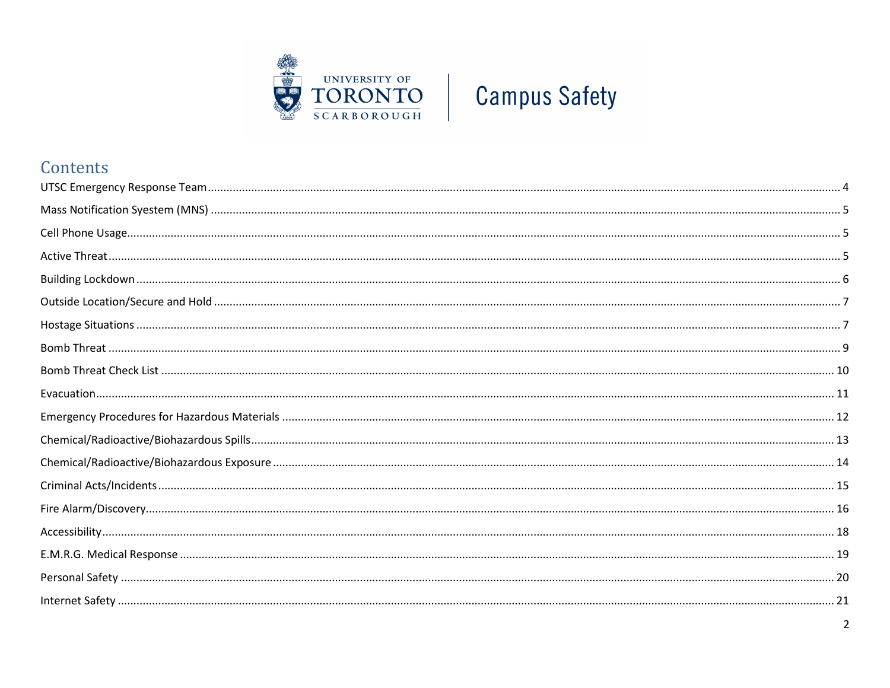

## Contents

| $\overline{2}$ |
|----------------|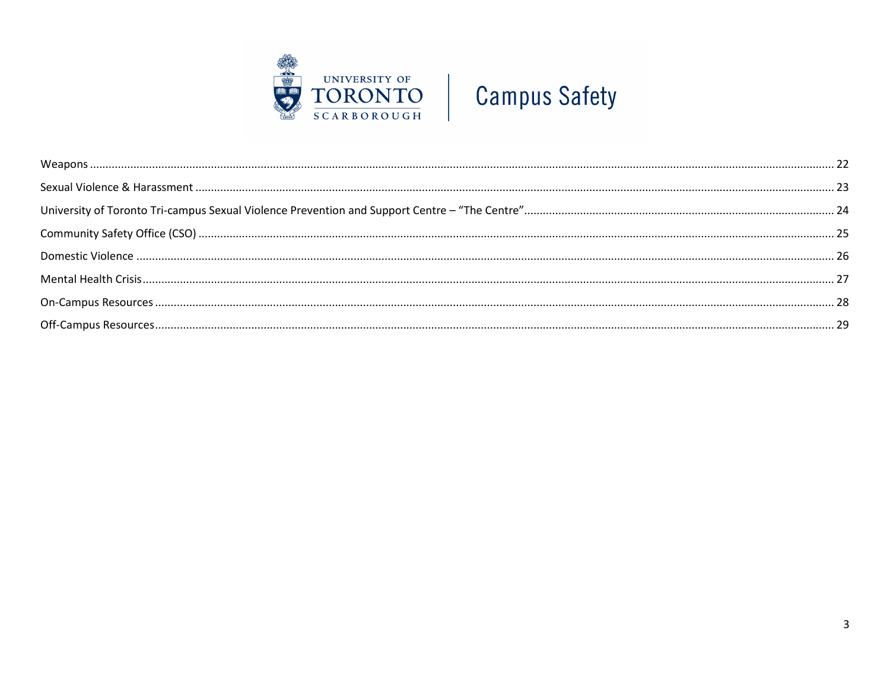

<span id="page-2-0"></span>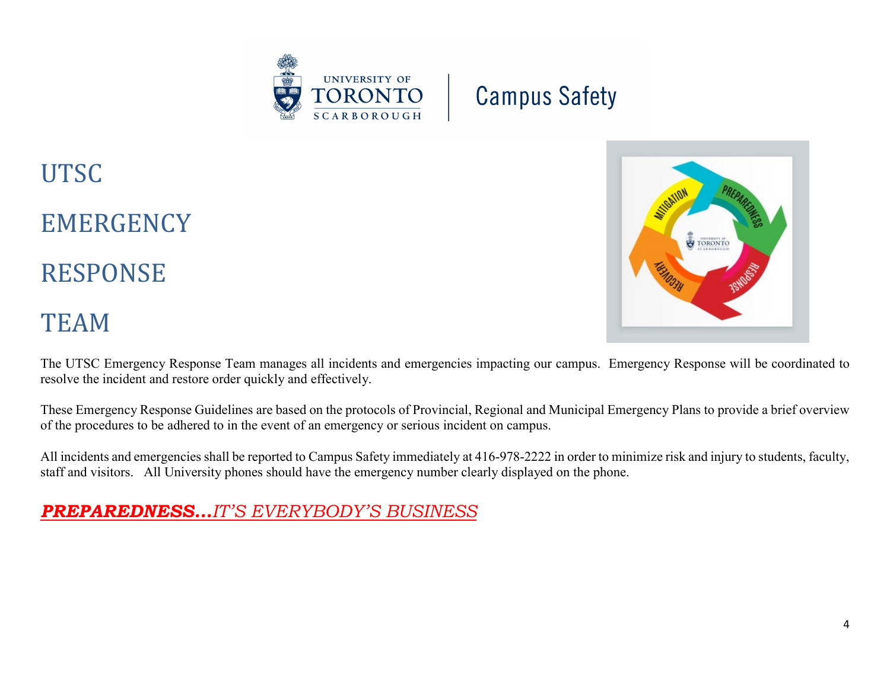



**EMERGENCY** 

RESPONSE

## TEAM

The UTSC Emergency Response Team manages all incidents and emergencies impacting our campus. Emergency Response will be coordinated to resolve the incident and restore order quickly and effectively.

These Emergency Response Guidelines are based on the protocols of Provincial, Regional and Municipal Emergency Plans to provide a brief overview of the procedures to be adhered to in the event of an emergency or serious incident on campus.

All incidents and emergencies shall be reported to Campus Safety immediately at 416-978-2222 in order to minimize risk and injury to students, faculty, staff and visitors. All University phones should have the emergency number clearly displayed on the phone.

## <span id="page-3-0"></span>*PREPAREDNESS…IT'S EVERYBODY'S BUSINESS*

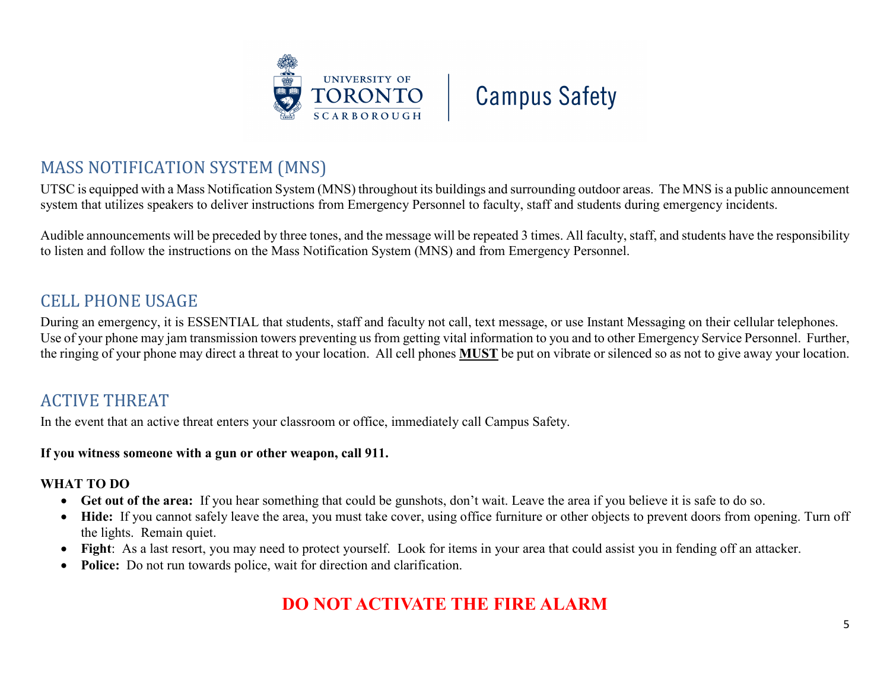



## MASS NOTIFICATION SYSTEM (MNS)

UTSC is equipped with a Mass Notification System (MNS) throughout its buildings and surrounding outdoor areas. The MNS is a public announcement system that utilizes speakers to deliver instructions from Emergency Personnel to faculty, staff and students during emergency incidents.

Audible announcements will be preceded by three tones, and the message will be repeated 3 times. All faculty, staff, and students have the responsibility to listen and follow the instructions on the Mass Notification System (MNS) and from Emergency Personnel.

## <span id="page-4-0"></span>CELL PHONE USAGE

During an emergency, it is ESSENTIAL that students, staff and faculty not call, text message, or use Instant Messaging on their cellular telephones. Use of your phone may jam transmission towers preventing us from getting vital information to you and to other Emergency Service Personnel. Further, the ringing of your phone may direct a threat to your location. All cell phones **MUST** be put on vibrate or silenced so as not to give away your location.

## <span id="page-4-1"></span>ACTIVE THREAT

In the event that an active threat enters your classroom or office, immediately call Campus Safety.

**If you witness someone with a gun or other weapon, call 911.**

#### **WHAT TO DO**

- **Get out of the area:** If you hear something that could be gunshots, don't wait. Leave the area if you believe it is safe to do so.
- Hide: If you cannot safely leave the area, you must take cover, using office furniture or other objects to prevent doors from opening. Turn off the lights. Remain quiet.
- **Fight**: As a last resort, you may need to protect yourself. Look for items in your area that could assist you in fending off an attacker.
- **Police:** Do not run towards police, wait for direction and clarification.

## **DO NOT ACTIVATE THE FIRE ALARM**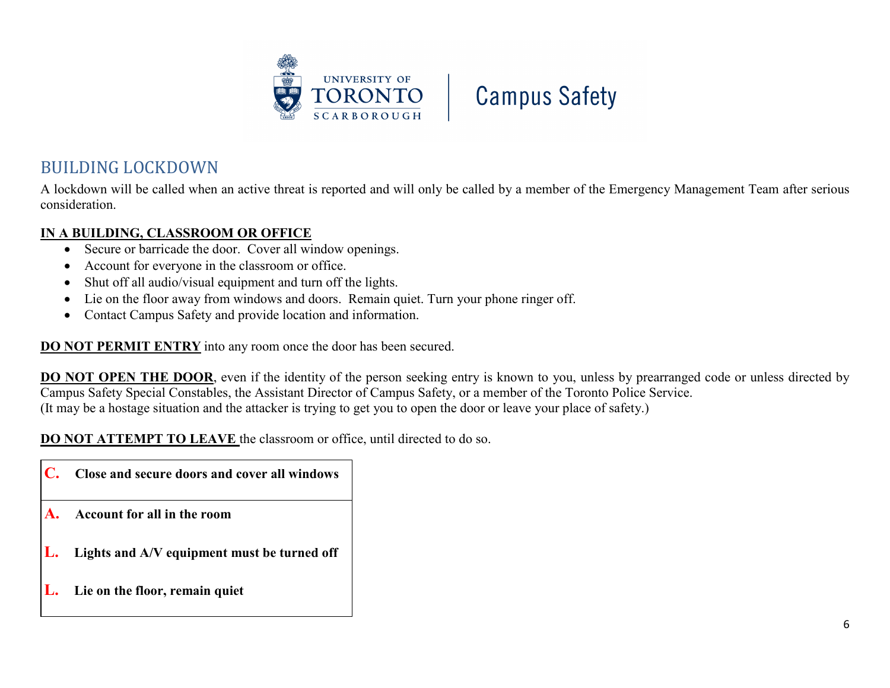



## <span id="page-5-0"></span>BUILDING LOCKDOWN

A lockdown will be called when an active threat is reported and will only be called by a member of the Emergency Management Team after serious consideration.

#### **IN A BUILDING, CLASSROOM OR OFFICE**

- Secure or barricade the door. Cover all window openings.
- Account for everyone in the classroom or office.
- Shut off all audio/visual equipment and turn off the lights.
- Lie on the floor away from windows and doors. Remain quiet. Turn your phone ringer off.
- Contact Campus Safety and provide location and information.

**DO NOT PERMIT ENTRY** into any room once the door has been secured.

**DO NOT OPEN THE DOOR**, even if the identity of the person seeking entry is known to you, unless by prearranged code or unless directed by Campus Safety Special Constables, the Assistant Director of Campus Safety, or a member of the Toronto Police Service. (It may be a hostage situation and the attacker is trying to get you to open the door or leave your place of safety.)

**DO NOT ATTEMPT TO LEAVE** the classroom or office, until directed to do so.

- **C. Close and secure doors and cover all windows**
- **A. Account for all in the room**
- **L. Lights and A/V equipment must be turned off**
- **L. Lie on the floor, remain quiet**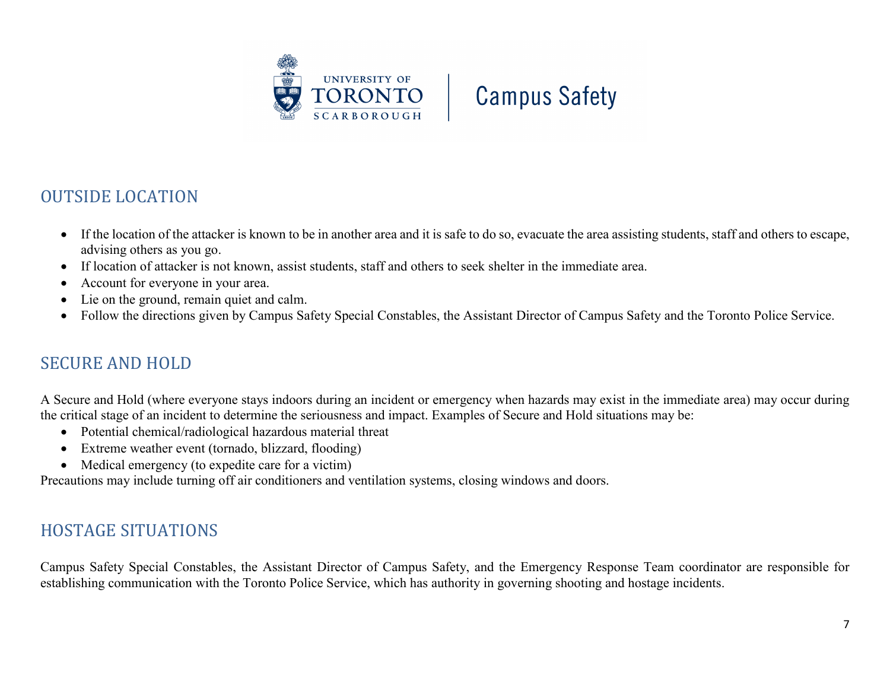

## <span id="page-6-0"></span>OUTSIDE LOCATION

- If the location of the attacker is known to be in another area and it is safe to do so, evacuate the area assisting students, staff and others to escape, advising others as you go.
- If location of attacker is not known, assist students, staff and others to seek shelter in the immediate area.
- Account for everyone in your area.
- Lie on the ground, remain quiet and calm.
- Follow the directions given by Campus Safety Special Constables, the Assistant Director of Campus Safety and the Toronto Police Service.

### SECURE AND HOLD

A Secure and Hold (where everyone stays indoors during an incident or emergency when hazards may exist in the immediate area) may occur during the critical stage of an incident to determine the seriousness and impact. Examples of Secure and Hold situations may be:

- Potential chemical/radiological hazardous material threat
- Extreme weather event (tornado, blizzard, flooding)
- Medical emergency (to expedite care for a victim)

Precautions may include turning off air conditioners and ventilation systems, closing windows and doors.

## <span id="page-6-1"></span>HOSTAGE SITUATIONS

Campus Safety Special Constables, the Assistant Director of Campus Safety, and the Emergency Response Team coordinator are responsible for establishing communication with the Toronto Police Service, which has authority in governing shooting and hostage incidents.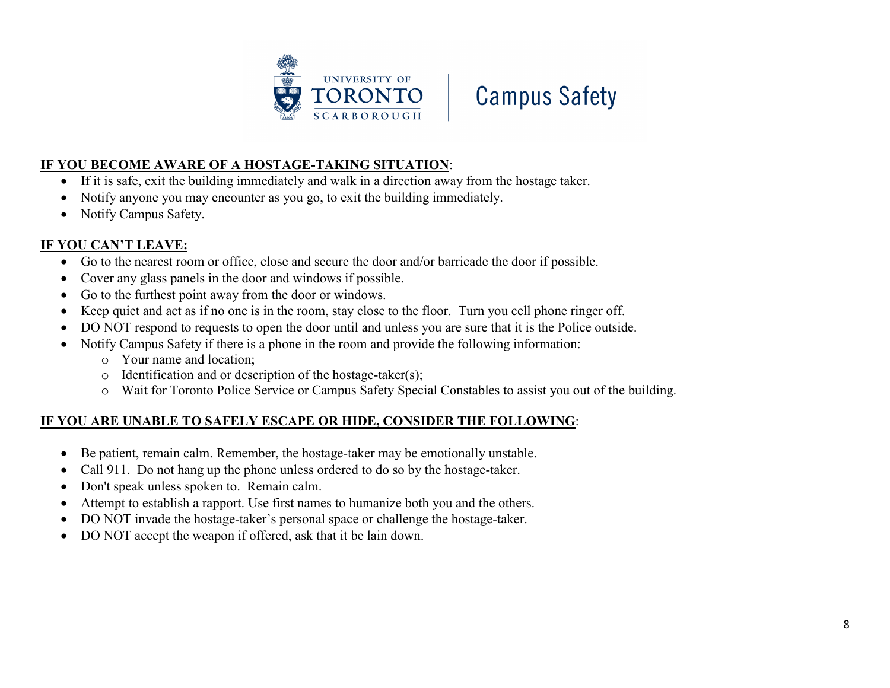



#### **IF YOU BECOME AWARE OF A HOSTAGE-TAKING SITUATION**:

- If it is safe, exit the building immediately and walk in a direction away from the hostage taker.
- Notify anyone you may encounter as you go, to exit the building immediately.
- Notify Campus Safety.

#### **IF YOU CAN'T LEAVE:**

- Go to the nearest room or office, close and secure the door and/or barricade the door if possible.
- Cover any glass panels in the door and windows if possible.
- Go to the furthest point away from the door or windows.
- Keep quiet and act as if no one is in the room, stay close to the floor. Turn you cell phone ringer off.
- DO NOT respond to requests to open the door until and unless you are sure that it is the Police outside.
- Notify Campus Safety if there is a phone in the room and provide the following information:
	- o Your name and location;
	- o Identification and or description of the hostage-taker(s);
	- o Wait for Toronto Police Service or Campus Safety Special Constables to assist you out of the building.

#### **IF YOU ARE UNABLE TO SAFELY ESCAPE OR HIDE, CONSIDER THE FOLLOWING**:

- Be patient, remain calm. Remember, the hostage-taker may be emotionally unstable.
- Call 911. Do not hang up the phone unless ordered to do so by the hostage-taker.
- Don't speak unless spoken to. Remain calm.
- Attempt to establish a rapport. Use first names to humanize both you and the others.
- DO NOT invade the hostage-taker's personal space or challenge the hostage-taker.
- <span id="page-7-0"></span>• DO NOT accept the weapon if offered, ask that it be lain down.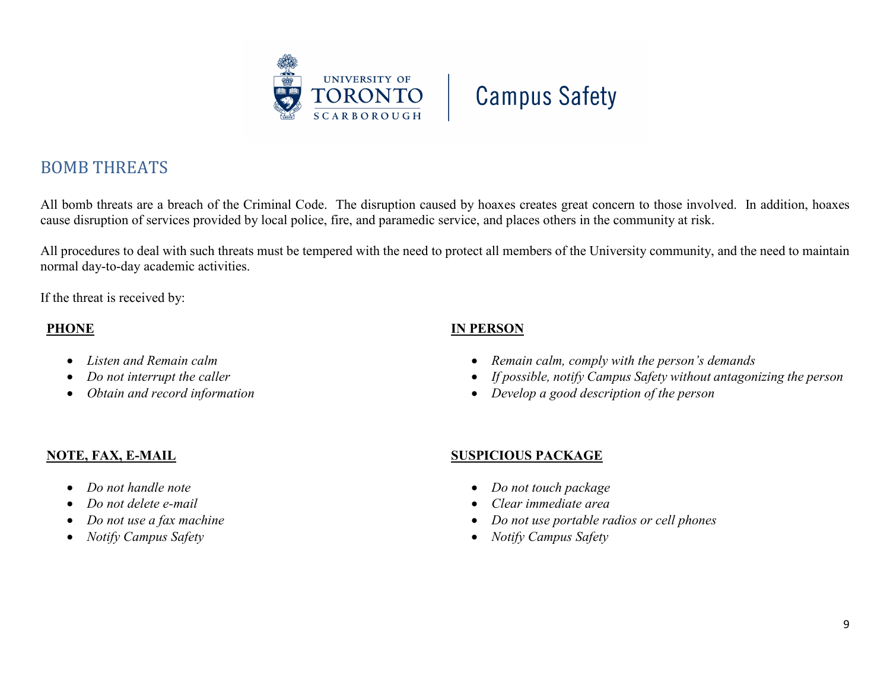

## BOMB THREATS

All bomb threats are a breach of the Criminal Code. The disruption caused by hoaxes creates great concern to those involved. In addition, hoaxes cause disruption of services provided by local police, fire, and paramedic service, and places others in the community at risk.

All procedures to deal with such threats must be tempered with the need to protect all members of the University community, and the need to maintain normal day-to-day academic activities.

If the threat is received by:

#### **PHONE**

- *Listen and Remain calm*
- *Do not interrupt the caller*
- *Obtain and record information*

#### **IN PERSON**

- *Remain calm, comply with the person's demands*
- *If possible, notify Campus Safety without antagonizing the person*
- *Develop a good description of the person*

### **NOTE, FAX, E-MAIL**

- *Do not handle note*
- *Do not delete e-mail*
- *Do not use a fax machine*
- *Notify Campus Safety*

### **SUSPICIOUS PACKAGE**

- *Do not touch package*
- *Clear immediate area*
- *Do not use portable radios or cell phones*
- *Notify Campus Safety*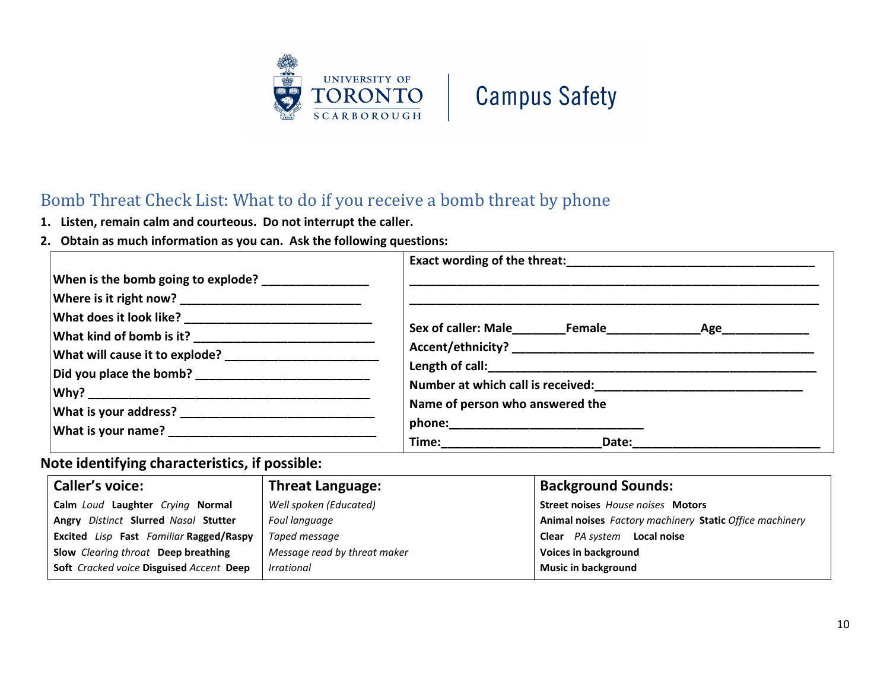



## <span id="page-9-0"></span>Bomb Threat Check List: What to do if you receive a bomb threat by phone

- **1. Listen, remain calm and courteous. Do not interrupt the caller.**
- **2. Obtain as much information as you can. Ask the following questions:**

| When is the bomb going to explode? ________________ |                                                                        |  |  |
|-----------------------------------------------------|------------------------------------------------------------------------|--|--|
|                                                     |                                                                        |  |  |
|                                                     |                                                                        |  |  |
|                                                     |                                                                        |  |  |
|                                                     |                                                                        |  |  |
|                                                     |                                                                        |  |  |
|                                                     | Number at which call is received:<br>Number at which call is received: |  |  |
|                                                     | Name of person who answered the                                        |  |  |
|                                                     |                                                                        |  |  |
|                                                     |                                                                        |  |  |

### **Note identifying characteristics, if possible:**

| <b>Caller's voice:</b>                   | <b>Threat Language:</b>      | <b>Background Sounds:</b>                               |
|------------------------------------------|------------------------------|---------------------------------------------------------|
| Calm Loud Laughter Crying Normal         | Well spoken (Educated)       | Street noises House noises Motors                       |
| Angry Distinct Slurred Nasal Stutter     | Foul language                | Animal noises Factory machinery Static Office machinery |
| Excited Lisp Fast Familiar Ragged/Raspy  | Taped message                | Clear PA system Local noise                             |
| Slow Clearing throat Deep breathing      | Message read by threat maker | Voices in background                                    |
| Soft Cracked voice Disguised Accent Deep | Irrational                   | <b>Music in background</b>                              |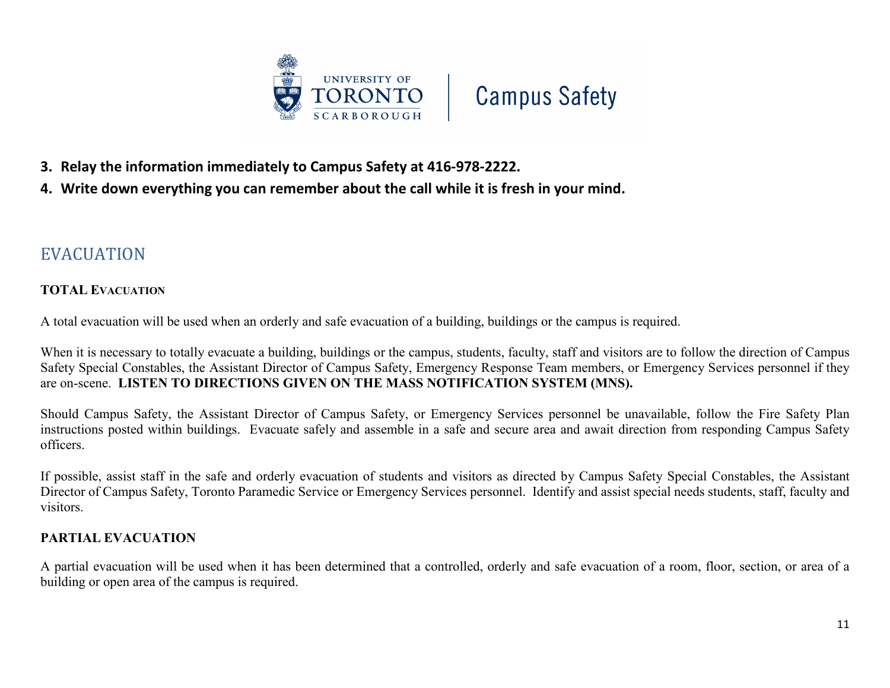

- **3. Relay the information immediately to Campus Safety at 416-978-2222.**
- <span id="page-10-0"></span>**4. Write down everything you can remember about the call while it is fresh in your mind.**

### EVACUATION

#### **TOTAL EVACUATION**

A total evacuation will be used when an orderly and safe evacuation of a building, buildings or the campus is required.

When it is necessary to totally evacuate a building, buildings or the campus, students, faculty, staff and visitors are to follow the direction of Campus Safety Special Constables, the Assistant Director of Campus Safety, Emergency Response Team members, or Emergency Services personnel if they are on-scene. **LISTEN TO DIRECTIONS GIVEN ON THE MASS NOTIFICATION SYSTEM (MNS).**

Should Campus Safety, the Assistant Director of Campus Safety, or Emergency Services personnel be unavailable, follow the Fire Safety Plan instructions posted within buildings. Evacuate safely and assemble in a safe and secure area and await direction from responding Campus Safety officers.

If possible, assist staff in the safe and orderly evacuation of students and visitors as directed by Campus Safety Special Constables, the Assistant Director of Campus Safety, Toronto Paramedic Service or Emergency Services personnel. Identify and assist special needs students, staff, faculty and visitors.

#### **PARTIAL EVACUATION**

A partial evacuation will be used when it has been determined that a controlled, orderly and safe evacuation of a room, floor, section, or area of a building or open area of the campus is required.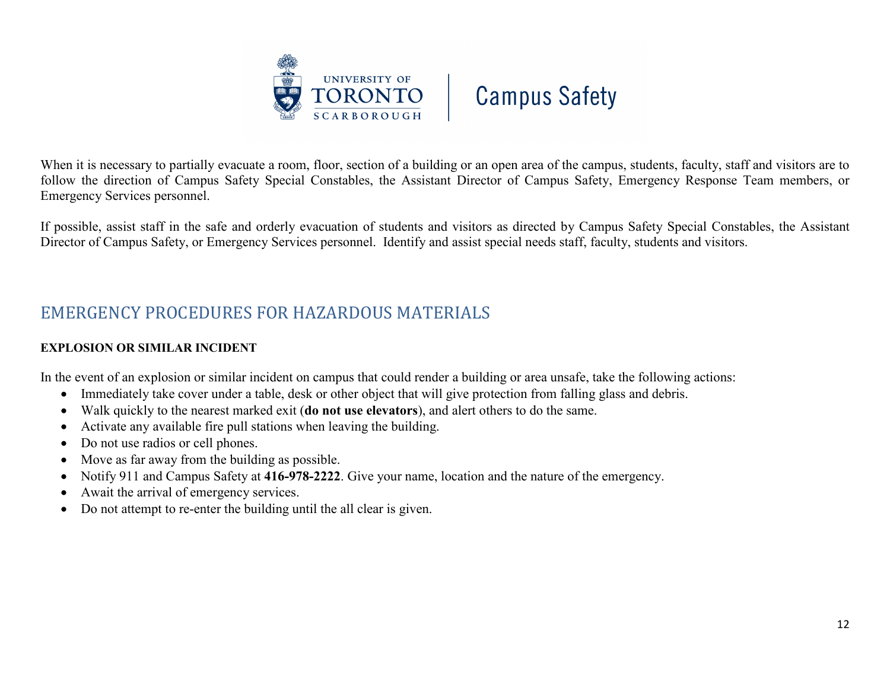



When it is necessary to partially evacuate a room, floor, section of a building or an open area of the campus, students, faculty, staff and visitors are to follow the direction of Campus Safety Special Constables, the Assistant Director of Campus Safety, Emergency Response Team members, or Emergency Services personnel.

If possible, assist staff in the safe and orderly evacuation of students and visitors as directed by Campus Safety Special Constables, the Assistant Director of Campus Safety, or Emergency Services personnel. Identify and assist special needs staff, faculty, students and visitors.

## <span id="page-11-0"></span>EMERGENCY PROCEDURES FOR HAZARDOUS MATERIALS

#### **EXPLOSION OR SIMILAR INCIDENT**

In the event of an explosion or similar incident on campus that could render a building or area unsafe, take the following actions:

- Immediately take cover under a table, desk or other object that will give protection from falling glass and debris.
- Walk quickly to the nearest marked exit (**do not use elevators**), and alert others to do the same.
- Activate any available fire pull stations when leaving the building.
- Do not use radios or cell phones.
- Move as far away from the building as possible.
- Notify 911 and Campus Safety at **416-978-2222**. Give your name, location and the nature of the emergency.
- Await the arrival of emergency services.
- Do not attempt to re-enter the building until the all clear is given.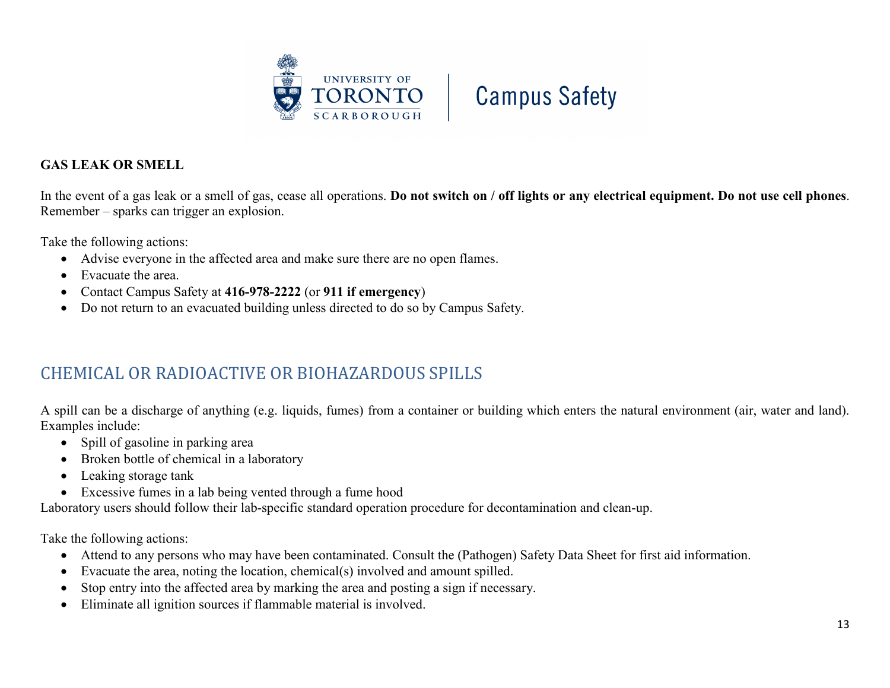

#### **GAS LEAK OR SMELL**

In the event of a gas leak or a smell of gas, cease all operations. **Do not switch on / off lights or any electrical equipment. Do not use cell phones**. Remember – sparks can trigger an explosion.

Take the following actions:

- Advise everyone in the affected area and make sure there are no open flames.
- Evacuate the area.
- Contact Campus Safety at **416-978-2222** (or **911 if emergency**)
- Do not return to an evacuated building unless directed to do so by Campus Safety.

## <span id="page-12-0"></span>CHEMICAL OR RADIOACTIVE OR BIOHAZARDOUS SPILLS

A spill can be a discharge of anything (e.g. liquids, fumes) from a container or building which enters the natural environment (air, water and land). Examples include:

- Spill of gasoline in parking area
- Broken bottle of chemical in a laboratory
- Leaking storage tank
- Excessive fumes in a lab being vented through a fume hood

Laboratory users should follow their lab-specific standard operation procedure for decontamination and clean-up.

Take the following actions:

- Attend to any persons who may have been contaminated. Consult the (Pathogen) Safety Data Sheet for first aid information.
- Evacuate the area, noting the location, chemical(s) involved and amount spilled.
- Stop entry into the affected area by marking the area and posting a sign if necessary.
- Eliminate all ignition sources if flammable material is involved.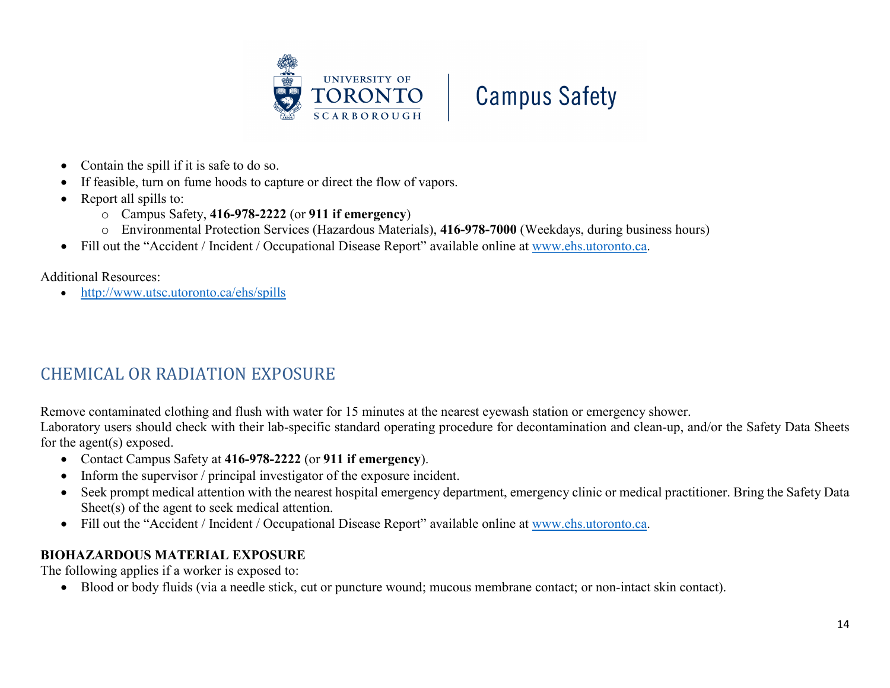



- Contain the spill if it is safe to do so.
- If feasible, turn on fume hoods to capture or direct the flow of vapors.
- Report all spills to:
	- o Campus Safety, **416-978-2222** (or **911 if emergency**)
	- o Environmental Protection Services (Hazardous Materials), **416-978-7000** (Weekdays, during business hours)
- Fill out the "Accident / Incident / Occupational Disease Report" available online at [www.ehs.utoronto.ca.](http://www.ehs.utoronto.ca/)

Additional Resources:

• <http://www.utsc.utoronto.ca/ehs/spills>

## <span id="page-13-0"></span>CHEMICAL OR RADIATION EXPOSURE

Remove contaminated clothing and flush with water for 15 minutes at the nearest eyewash station or emergency shower.

Laboratory users should check with their lab-specific standard operating procedure for decontamination and clean-up, and/or the Safety Data Sheets for the agent(s) exposed.

- Contact Campus Safety at **416-978-2222** (or **911 if emergency**).
- Inform the supervisor / principal investigator of the exposure incident.
- Seek prompt medical attention with the nearest hospital emergency department, emergency clinic or medical practitioner. Bring the Safety Data Sheet(s) of the agent to seek medical attention.
- Fill out the "Accident / Incident / Occupational Disease Report" available online at [www.ehs.utoronto.ca.](http://www.ehs.utoronto.ca/)

#### **BIOHAZARDOUS MATERIAL EXPOSURE**

The following applies if a worker is exposed to:

• Blood or body fluids (via a needle stick, cut or puncture wound; mucous membrane contact; or non-intact skin contact).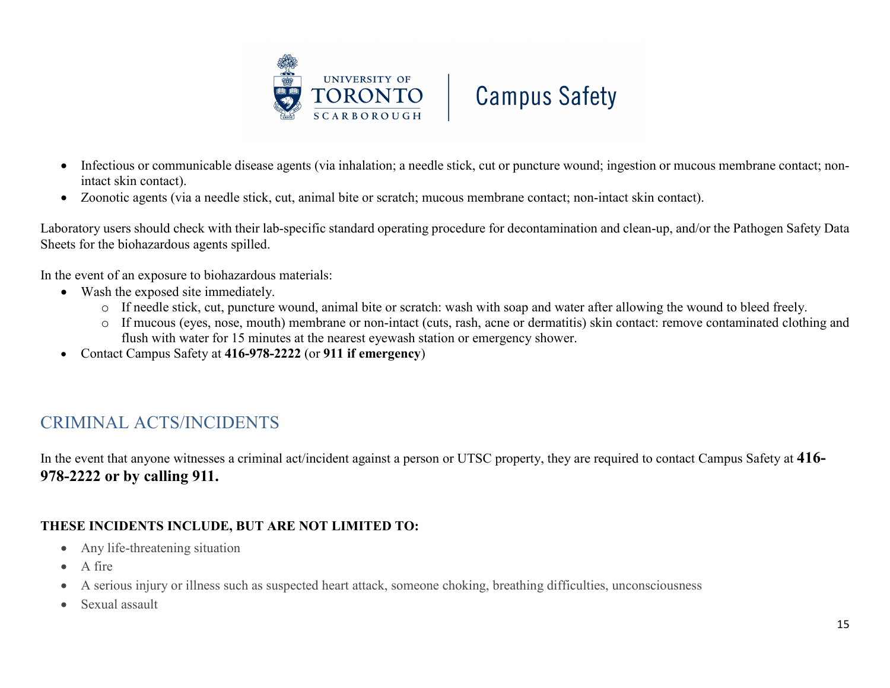

- Infectious or communicable disease agents (via inhalation; a needle stick, cut or puncture wound; ingestion or mucous membrane contact; nonintact skin contact).
- Zoonotic agents (via a needle stick, cut, animal bite or scratch; mucous membrane contact; non-intact skin contact).

Laboratory users should check with their lab-specific standard operating procedure for decontamination and clean-up, and/or the Pathogen Safety Data Sheets for the biohazardous agents spilled.

In the event of an exposure to biohazardous materials:

- Wash the exposed site immediately.
	- o If needle stick, cut, puncture wound, animal bite or scratch: wash with soap and water after allowing the wound to bleed freely.
	- o If mucous (eyes, nose, mouth) membrane or non-intact (cuts, rash, acne or dermatitis) skin contact: remove contaminated clothing and flush with water for 15 minutes at the nearest eyewash station or emergency shower.
- <span id="page-14-0"></span>• Contact Campus Safety at **416-978-2222** (or **911 if emergency**)

## CRIMINAL ACTS/INCIDENTS

In the event that anyone witnesses a criminal act/incident against a person or UTSC property, they are required to contact Campus Safety at **416- 978-2222 or by calling 911.**

### **THESE INCIDENTS INCLUDE, BUT ARE NOT LIMITED TO:**

- Any life-threatening situation
- A fire
- A serious injury or illness such as suspected heart attack, someone choking, breathing difficulties, unconsciousness
- Sexual assault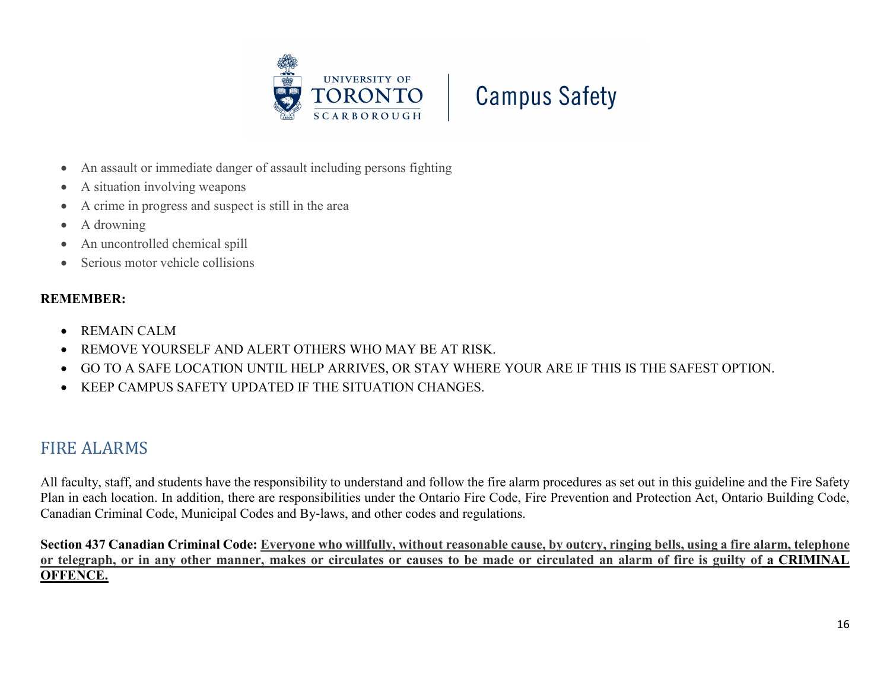



- An assault or immediate danger of assault including persons fighting
- A situation involving weapons
- A crime in progress and suspect is still in the area
- A drowning
- An uncontrolled chemical spill
- Serious motor vehicle collisions

#### **REMEMBER:**

- REMAIN CALM
- REMOVE YOURSELF AND ALERT OTHERS WHO MAY BE AT RISK.
- GO TO A SAFE LOCATION UNTIL HELP ARRIVES, OR STAY WHERE YOUR ARE IF THIS IS THE SAFEST OPTION.
- KEEP CAMPUS SAFETY UPDATED IF THE SITUATION CHANGES.

## <span id="page-15-0"></span>FIRE ALARMS

All faculty, staff, and students have the responsibility to understand and follow the fire alarm procedures as set out in this guideline and the Fire Safety Plan in each location. In addition, there are responsibilities under the Ontario Fire Code, Fire Prevention and Protection Act, Ontario Building Code, Canadian Criminal Code, Municipal Codes and By‐laws, and other codes and regulations.

**Section 437 Canadian Criminal Code: Everyone who willfully, without reasonable cause, by outcry, ringing bells, using a fire alarm, telephone or telegraph, or in any other manner, makes or circulates or causes to be made or circulated an alarm of fire is guilty of a CRIMINAL OFFENCE.**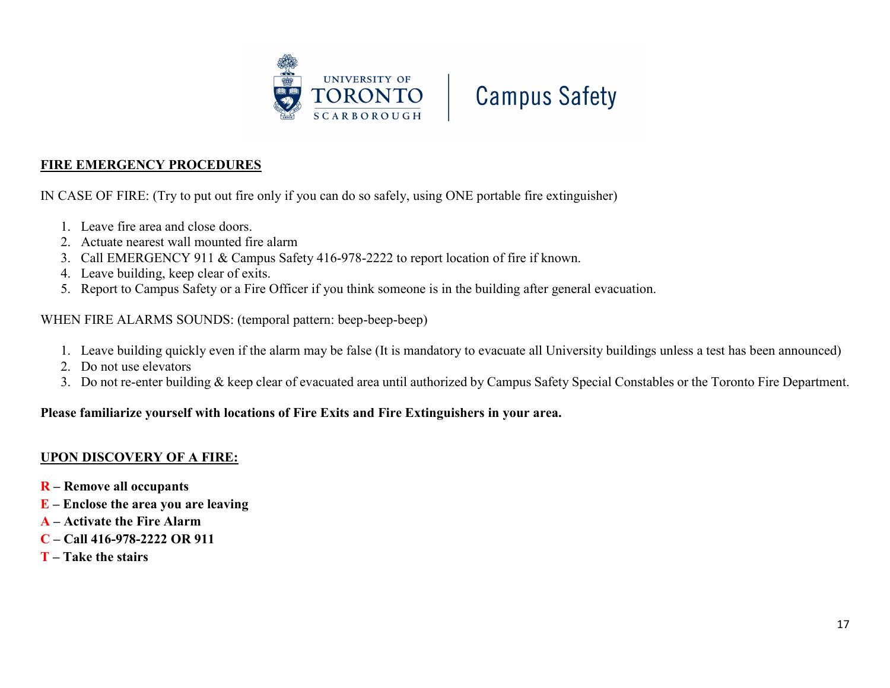



#### **FIRE EMERGENCY PROCEDURES**

IN CASE OF FIRE: (Try to put out fire only if you can do so safely, using ONE portable fire extinguisher)

- 1. Leave fire area and close doors.
- 2. Actuate nearest wall mounted fire alarm
- 3. Call EMERGENCY 911 & Campus Safety 416-978-2222 to report location of fire if known.
- 4. Leave building, keep clear of exits.
- 5. Report to Campus Safety or a Fire Officer if you think someone is in the building after general evacuation.

#### WHEN FIRE ALARMS SOUNDS: (temporal pattern: beep-beep-beep)

- 1. Leave building quickly even if the alarm may be false (It is mandatory to evacuate all University buildings unless a test has been announced)
- 2. Do not use elevators
- 3. Do not re-enter building & keep clear of evacuated area until authorized by Campus Safety Special Constables or the Toronto Fire Department.

#### **Please familiarize yourself with locations of Fire Exits and Fire Extinguishers in your area.**

#### **UPON DISCOVERY OF A FIRE:**

- **R – Remove all occupants**
- **E – Enclose the area you are leaving**
- **A – Activate the Fire Alarm**
- **C – Call 416-978-2222 OR 911**
- **T – Take the stairs**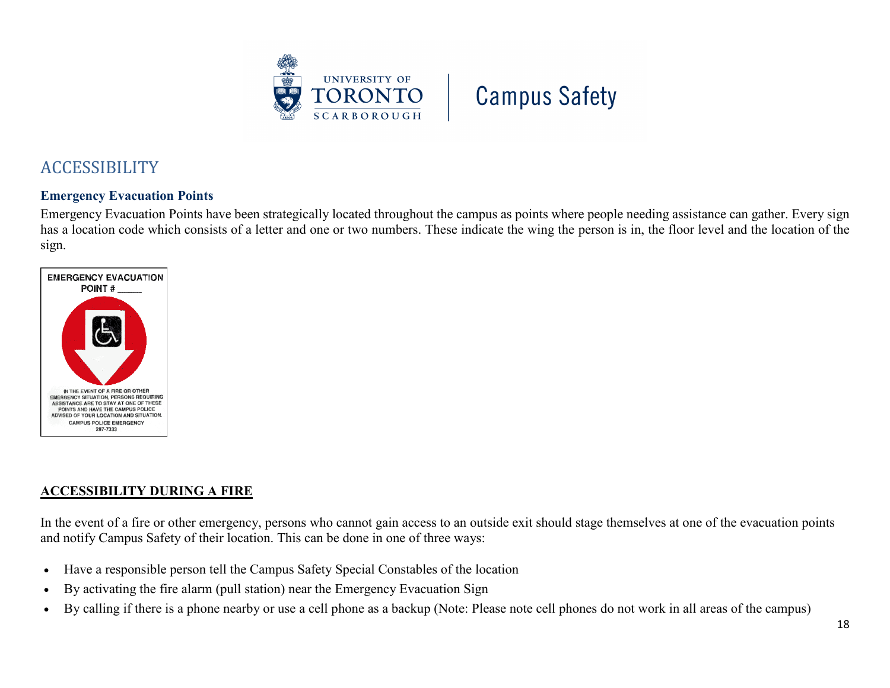

## <span id="page-17-0"></span>ACCESSIBILITY

#### **Emergency Evacuation Points**

Emergency Evacuation Points have been strategically located throughout the campus as points where people needing assistance can gather. Every sign has a location code which consists of a letter and one or two numbers. These indicate the wing the person is in, the floor level and the location of the sign.



#### **ACCESSIBILITY DURING A FIRE**

In the event of a fire or other emergency, persons who cannot gain access to an outside exit should stage themselves at one of the evacuation points and notify Campus Safety of their location. This can be done in one of three ways:

- Have a responsible person tell the Campus Safety Special Constables of the location
- By activating the fire alarm (pull station) near the Emergency Evacuation Sign
- By calling if there is a phone nearby or use a cell phone as a backup (Note: Please note cell phones do not work in all areas of the campus)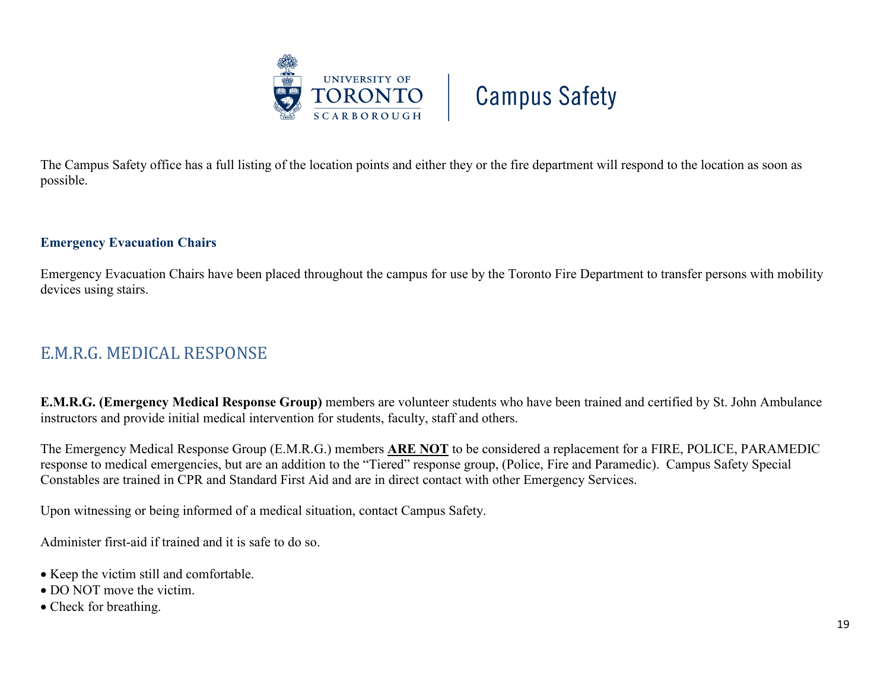

The Campus Safety office has a full listing of the location points and either they or the fire department will respond to the location as soon as possible.

#### **Emergency Evacuation Chairs**

Emergency Evacuation Chairs have been placed throughout the campus for use by the Toronto Fire Department to transfer persons with mobility devices using stairs.

## <span id="page-18-0"></span>E.M.R.G. MEDICAL RESPONSE

**E.M.R.G. (Emergency Medical Response Group)** members are volunteer students who have been trained and certified by St. John Ambulance instructors and provide initial medical intervention for students, faculty, staff and others.

The Emergency Medical Response Group (E.M.R.G.) members **ARE NOT** to be considered a replacement for a FIRE, POLICE, PARAMEDIC response to medical emergencies, but are an addition to the "Tiered" response group, (Police, Fire and Paramedic). Campus Safety Special Constables are trained in CPR and Standard First Aid and are in direct contact with other Emergency Services.

Upon witnessing or being informed of a medical situation, contact Campus Safety.

Administer first-aid if trained and it is safe to do so.

- Keep the victim still and comfortable.
- DO NOT move the victim.
- Check for breathing.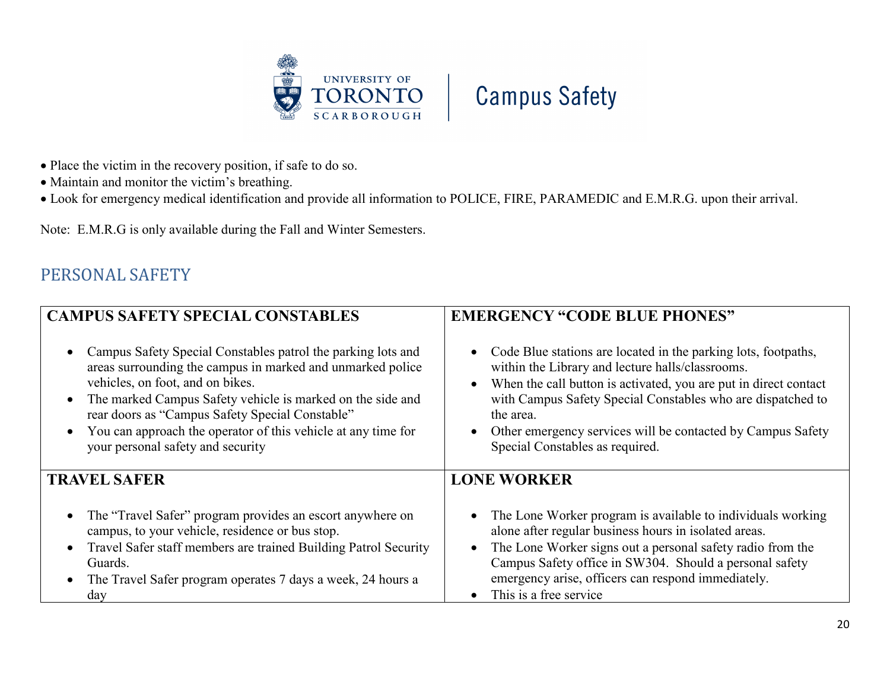



- Place the victim in the recovery position, if safe to do so.
- Maintain and monitor the victim's breathing.
- Look for emergency medical identification and provide all information to POLICE, FIRE, PARAMEDIC and E.M.R.G. upon their arrival.

Note: E.M.R.G is only available during the Fall and Winter Semesters.

## <span id="page-19-0"></span>PERSONAL SAFETY

| <b>CAMPUS SAFETY SPECIAL CONSTABLES</b>                                                                                                                                                                                                                                                                                                                                                                                      | <b>EMERGENCY "CODE BLUE PHONES"</b>                                                                                                                                                                                                                                                                                                                                    |  |  |
|------------------------------------------------------------------------------------------------------------------------------------------------------------------------------------------------------------------------------------------------------------------------------------------------------------------------------------------------------------------------------------------------------------------------------|------------------------------------------------------------------------------------------------------------------------------------------------------------------------------------------------------------------------------------------------------------------------------------------------------------------------------------------------------------------------|--|--|
| Campus Safety Special Constables patrol the parking lots and<br>$\bullet$<br>areas surrounding the campus in marked and unmarked police<br>vehicles, on foot, and on bikes.<br>The marked Campus Safety vehicle is marked on the side and<br>$\bullet$<br>rear doors as "Campus Safety Special Constable"<br>You can approach the operator of this vehicle at any time for<br>$\bullet$<br>your personal safety and security | • Code Blue stations are located in the parking lots, footpaths,<br>within the Library and lecture halls/classrooms.<br>When the call button is activated, you are put in direct contact<br>with Campus Safety Special Constables who are dispatched to<br>the area.<br>Other emergency services will be contacted by Campus Safety<br>Special Constables as required. |  |  |
| <b>TRAVEL SAFER</b>                                                                                                                                                                                                                                                                                                                                                                                                          | <b>LONE WORKER</b>                                                                                                                                                                                                                                                                                                                                                     |  |  |
| The "Travel Safer" program provides an escort anywhere on<br>$\bullet$<br>campus, to your vehicle, residence or bus stop.<br>Travel Safer staff members are trained Building Patrol Security<br>$\bullet$<br>Guards.<br>The Travel Safer program operates 7 days a week, 24 hours a<br>$\bullet$<br>day                                                                                                                      | • The Lone Worker program is available to individuals working<br>alone after regular business hours in isolated areas.<br>The Lone Worker signs out a personal safety radio from the<br>Campus Safety office in SW304. Should a personal safety<br>emergency arise, officers can respond immediately.<br>This is a free service.                                       |  |  |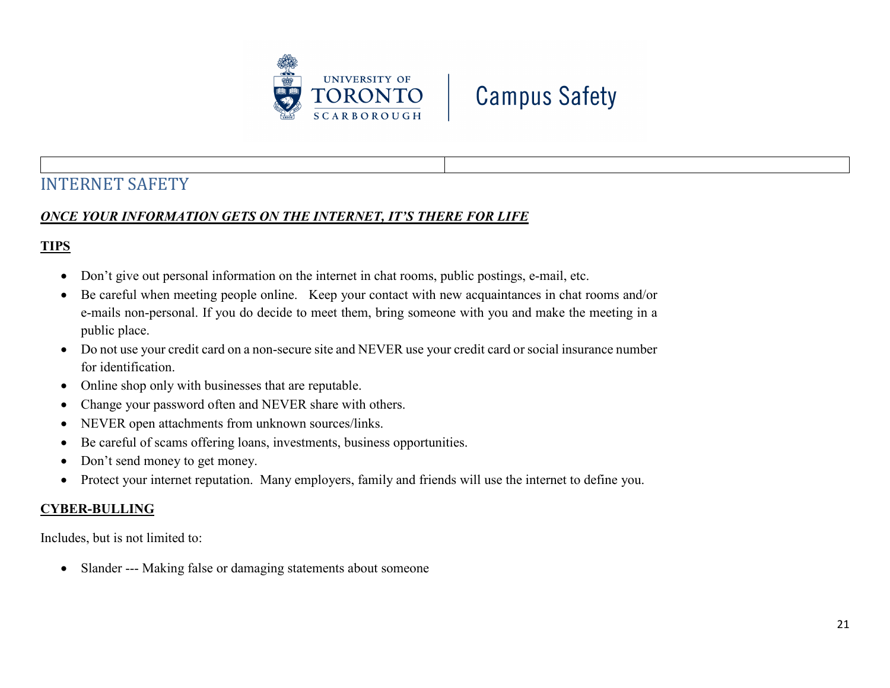



## <span id="page-20-0"></span>INTERNET SAFETY

### *ONCE YOUR INFORMATION GETS ON THE INTERNET, IT'S THERE FOR LIFE*

### **TIPS**

- Don't give out personal information on the internet in chat rooms, public postings, e-mail, etc.
- Be careful when meeting people online. Keep your contact with new acquaintances in chat rooms and/or e-mails non-personal. If you do decide to meet them, bring someone with you and make the meeting in a public place.
- Do not use your credit card on a non-secure site and NEVER use your credit card or social insurance number for identification.
- Online shop only with businesses that are reputable.
- Change your password often and NEVER share with others.
- NEVER open attachments from unknown sources/links.
- Be careful of scams offering loans, investments, business opportunities.
- Don't send money to get money.
- Protect your internet reputation. Many employers, family and friends will use the internet to define you.

#### **CYBER-BULLING**

Includes, but is not limited to:

• Slander --- Making false or damaging statements about someone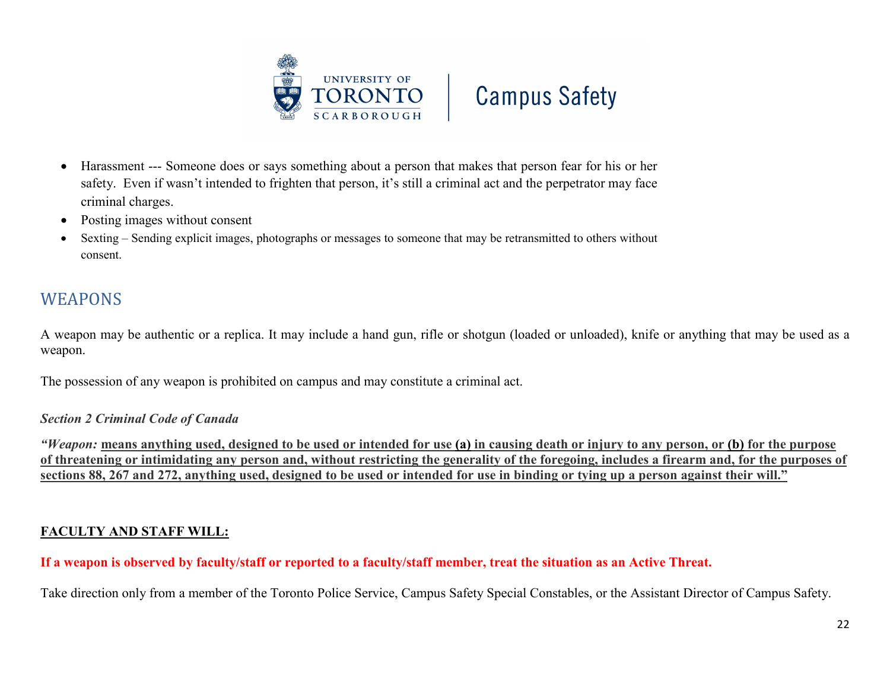



- Harassment --- Someone does or says something about a person that makes that person fear for his or her safety. Even if wasn't intended to frighten that person, it's still a criminal act and the perpetrator may face criminal charges.
- Posting images without consent
- Sexting Sending explicit images, photographs or messages to someone that may be retransmitted to others without consent.

## <span id="page-21-0"></span>WEAPONS

A weapon may be authentic or a replica. It may include a hand gun, rifle or shotgun (loaded or unloaded), knife or anything that may be used as a weapon.

The possession of any weapon is prohibited on campus and may constitute a criminal act.

#### *Section 2 Criminal Code of Canada*

*"Weapon:* **means anything used, designed to be used or intended for use (a) in causing death or injury to any person, or (b) for the purpose of threatening or intimidating any person and, without restricting the generality of the foregoing, includes a firearm and, for the purposes of sections 88, 267 and 272, anything used, designed to be used or intended for use in binding or tying up a person against their will."**

#### **FACULTY AND STAFF WILL:**

**If a weapon is observed by faculty/staff or reported to a faculty/staff member, treat the situation as an Active Threat.** 

Take direction only from a member of the Toronto Police Service, Campus Safety Special Constables, or the Assistant Director of Campus Safety.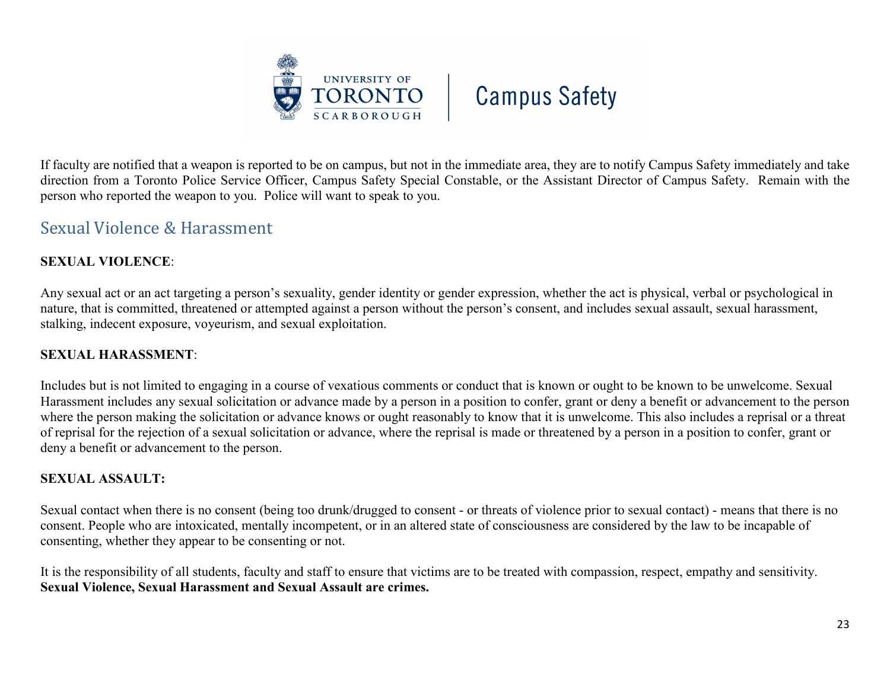



If faculty are notified that a weapon is reported to be on campus, but not in the immediate area, they are to notify Campus Safety immediately and take direction from a Toronto Police Service Officer, Campus Safety Special Constable, or the Assistant Director of Campus Safety. Remain with the person who reported the weapon to you. Police will want to speak to you.

### <span id="page-22-0"></span>Sexual Violence & Harassment

#### **SEXUAL VIOLENCE**:

Any sexual act or an act targeting a person's sexuality, gender identity or gender expression, whether the act is physical, verbal or psychological in nature, that is committed, threatened or attempted against a person without the person's consent, and includes sexual assault, sexual harassment, stalking, indecent exposure, voyeurism, and sexual exploitation.

#### **SEXUAL HARASSMENT**:

Includes but is not limited to engaging in a course of vexatious comments or conduct that is known or ought to be known to be unwelcome. Sexual Harassment includes any sexual solicitation or advance made by a person in a position to confer, grant or deny a benefit or advancement to the person where the person making the solicitation or advance knows or ought reasonably to know that it is unwelcome. This also includes a reprisal or a threat of reprisal for the rejection of a sexual solicitation or advance, where the reprisal is made or threatened by a person in a position to confer, grant or deny a benefit or advancement to the person.

#### **SEXUAL ASSAULT:**

Sexual contact when there is no consent (being too drunk/drugged to consent - or threats of violence prior to sexual contact) - means that there is no consent. People who are intoxicated, mentally incompetent, or in an altered state of consciousness are considered by the law to be incapable of consenting, whether they appear to be consenting or not.

It is the responsibility of all students, faculty and staff to ensure that victims are to be treated with compassion, respect, empathy and sensitivity. **Sexual Violence, Sexual Harassment and Sexual Assault are crimes.**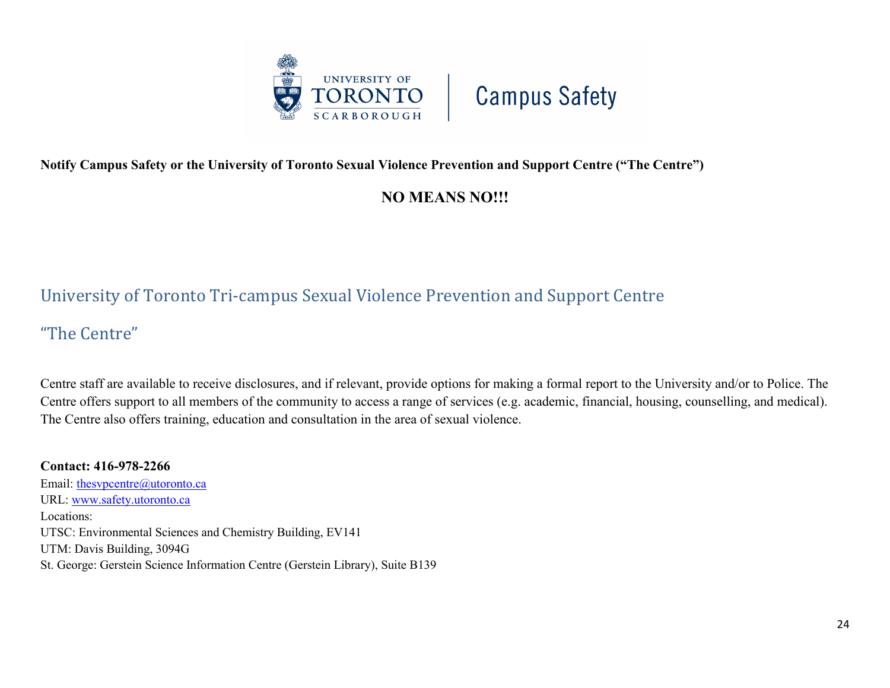

#### **Notify Campus Safety or the University of Toronto Sexual Violence Prevention and Support Centre ("The Centre")**

## **NO MEANS NO!!!**

## <span id="page-23-0"></span>University of Toronto Tri-campus Sexual Violence Prevention and Support Centre

"The Centre"

Centre staff are available to receive disclosures, and if relevant, provide options for making a formal report to the University and/or to Police. The Centre offers support to all members of the community to access a range of services (e.g. academic, financial, housing, counselling, and medical). The Centre also offers training, education and consultation in the area of sexual violence.

**Contact: 416-978-2266** Email: thesypcentre@utoronto.ca URL: [www.safety.utoronto.ca](http://www.safety.utoronto.ca/) Locations: UTSC: Environmental Sciences and Chemistry Building, EV141 UTM: Davis Building, 3094G St. George: Gerstein Science Information Centre (Gerstein Library), Suite B139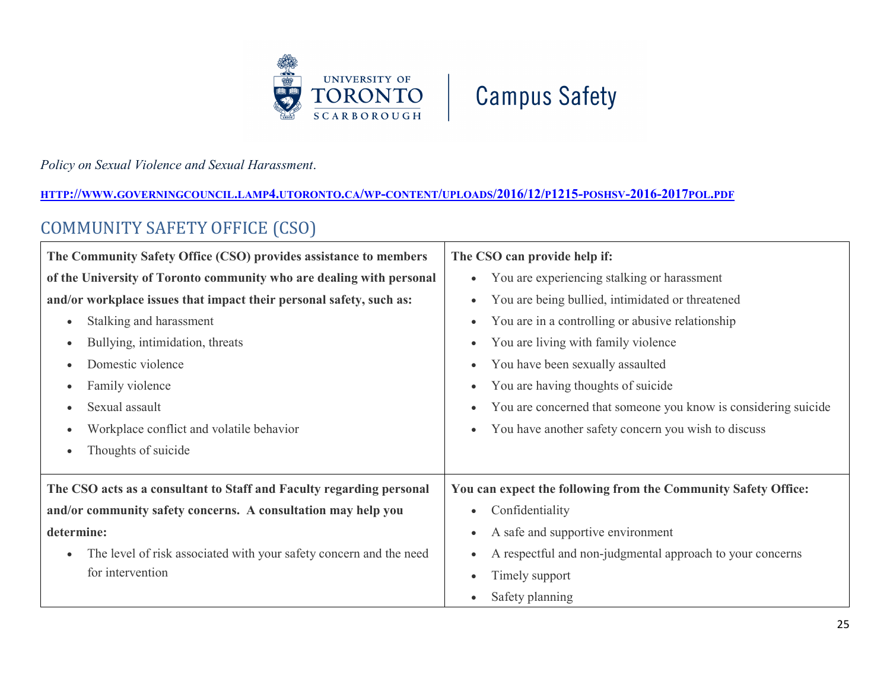



#### *Policy on Sexual Violence and Sexual Harassment*.

#### **[HTTP://WWW.GOVERNINGCOUNCIL.LAMP4.UTORONTO.CA/WP-CONTENT/UPLOADS/2016/12/P1215-POSHSV-2016-2017POL.PDF](http://www.governingcouncil.lamp4.utoronto.ca/wp-content/uploads/2016/12/p1215-poshsv-2016-2017pol.pdf)**

## <span id="page-24-0"></span>COMMUNITY SAFETY OFFICE (CSO)

| The Community Safety Office (CSO) provides assistance to members                | The CSO can provide help if:                                   |
|---------------------------------------------------------------------------------|----------------------------------------------------------------|
| of the University of Toronto community who are dealing with personal            | You are experiencing stalking or harassment                    |
| and/or workplace issues that impact their personal safety, such as:             | You are being bullied, intimidated or threatened               |
| Stalking and harassment<br>$\bullet$                                            | You are in a controlling or abusive relationship               |
| Bullying, intimidation, threats<br>$\bullet$                                    | You are living with family violence                            |
| Domestic violence<br>$\bullet$                                                  | You have been sexually assaulted                               |
| Family violence<br>$\bullet$                                                    | You are having thoughts of suicide                             |
| Sexual assault<br>$\bullet$                                                     | You are concerned that someone you know is considering suicide |
| Workplace conflict and volatile behavior<br>$\bullet$                           | You have another safety concern you wish to discuss<br>٠       |
| Thoughts of suicide<br>$\bullet$                                                |                                                                |
|                                                                                 |                                                                |
| The CSO acts as a consultant to Staff and Faculty regarding personal            | You can expect the following from the Community Safety Office: |
| and/or community safety concerns. A consultation may help you                   | Confidentiality                                                |
| determine:                                                                      | A safe and supportive environment                              |
| The level of risk associated with your safety concern and the need<br>$\bullet$ | A respectful and non-judgmental approach to your concerns      |
| for intervention                                                                | Timely support                                                 |
|                                                                                 | Safety planning                                                |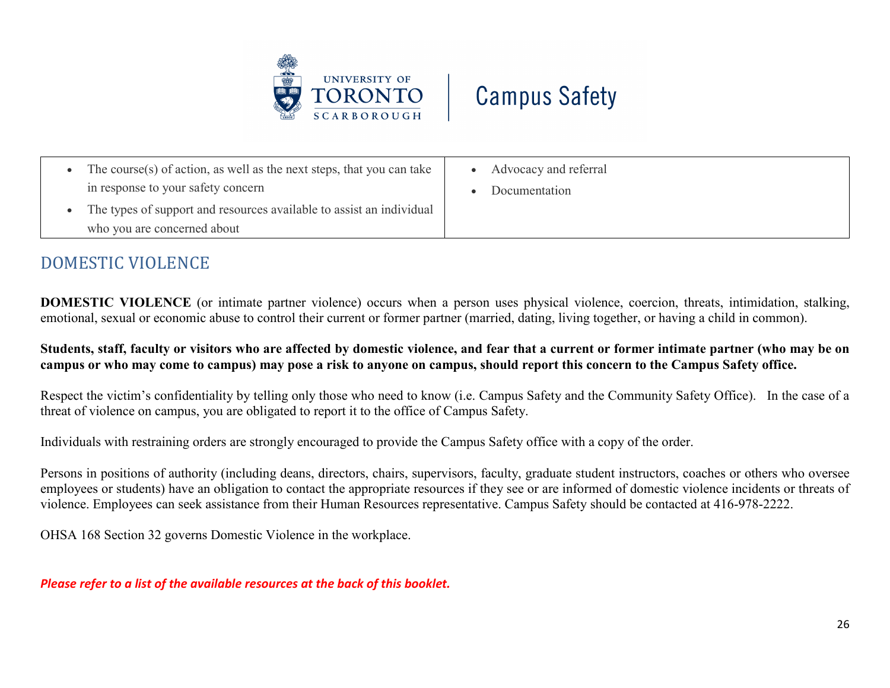



| The course(s) of action, as well as the next steps, that you can take | Advocacy and referral |
|-----------------------------------------------------------------------|-----------------------|
| in response to your safety concern                                    | Documentation         |
| The types of support and resources available to assist an individual  |                       |
| who you are concerned about                                           |                       |

## <span id="page-25-0"></span>DOMESTIC VIOLENCE

**DOMESTIC VIOLENCE** (or intimate partner violence) occurs when a person uses physical violence, coercion, threats, intimidation, stalking, emotional, sexual or economic abuse to control their current or former partner (married, dating, living together, or having a child in common).

**Students, staff, faculty or visitors who are affected by domestic violence, and fear that a current or former intimate partner (who may be on campus or who may come to campus) may pose a risk to anyone on campus, should report this concern to the Campus Safety office.**

Respect the victim's confidentiality by telling only those who need to know (i.e. Campus Safety and the Community Safety Office). In the case of a threat of violence on campus, you are obligated to report it to the office of Campus Safety.

Individuals with restraining orders are strongly encouraged to provide the Campus Safety office with a copy of the order.

Persons in positions of authority (including deans, directors, chairs, supervisors, faculty, graduate student instructors, coaches or others who oversee employees or students) have an obligation to contact the appropriate resources if they see or are informed of domestic violence incidents or threats of violence. Employees can seek assistance from their Human Resources representative. Campus Safety should be contacted at 416-978-2222.

OHSA 168 Section 32 governs Domestic Violence in the workplace.

*Please refer to a list of the available resources at the back of this booklet.*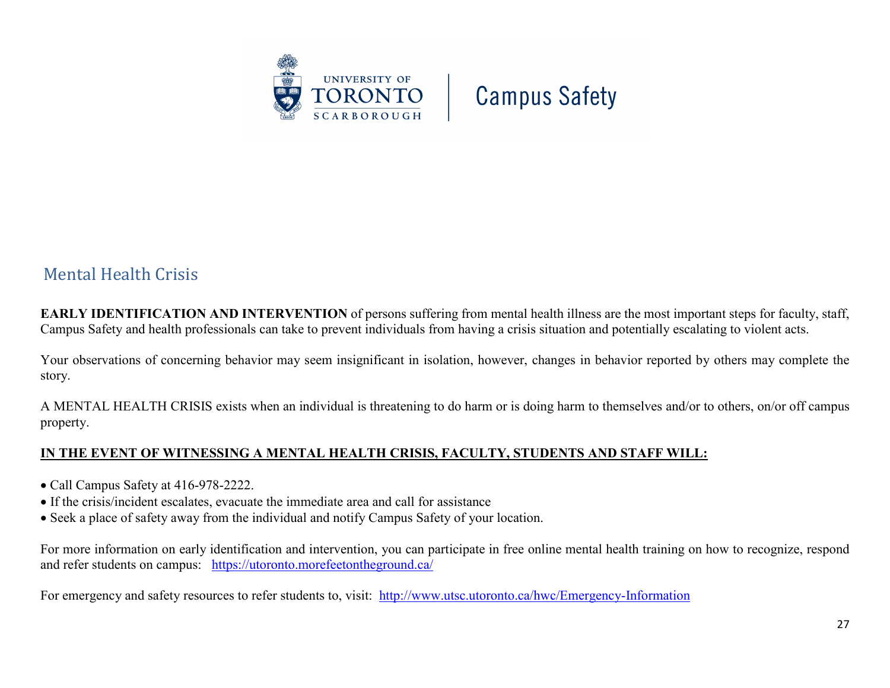

## <span id="page-26-0"></span>Mental Health Crisis

**EARLY IDENTIFICATION AND INTERVENTION** of persons suffering from mental health illness are the most important steps for faculty, staff, Campus Safety and health professionals can take to prevent individuals from having a crisis situation and potentially escalating to violent acts.

Your observations of concerning behavior may seem insignificant in isolation, however, changes in behavior reported by others may complete the story.

A MENTAL HEALTH CRISIS exists when an individual is threatening to do harm or is doing harm to themselves and/or to others, on/or off campus property.

#### **IN THE EVENT OF WITNESSING A MENTAL HEALTH CRISIS, FACULTY, STUDENTS AND STAFF WILL:**

- Call Campus Safety at 416-978-2222.
- If the crisis/incident escalates, evacuate the immediate area and call for assistance
- Seek a place of safety away from the individual and notify Campus Safety of your location.

For more information on early identification and intervention, you can participate in free online mental health training on how to recognize, respond and refer students on campus: <https://utoronto.morefeetontheground.ca/>

For emergency and safety resources to refer students to, visit: <http://www.utsc.utoronto.ca/hwc/Emergency-Information>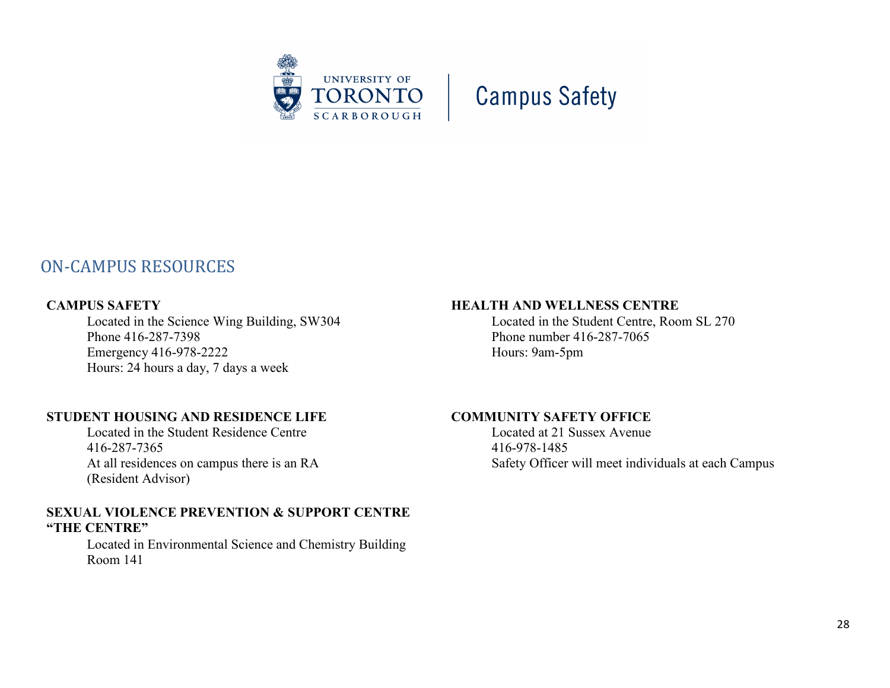

## <span id="page-27-0"></span>ON-CAMPUS RESOURCES

#### **CAMPUS SAFETY**

Located in the Science Wing Building, SW304 Phone 416-287-7398 Emergency 416-978-2222 Hours: 24 hours a day, 7 days a week

#### **STUDENT HOUSING AND RESIDENCE LIFE**

Located in the Student Residence Centre 416-287-7365 At all residences on campus there is an RA (Resident Advisor)

#### **SEXUAL VIOLENCE PREVENTION & SUPPORT CENTRE "THE CENTRE"**

Located in Environmental Science and Chemistry Building Room 141

#### **HEALTH AND WELLNESS CENTRE**

Located in the Student Centre, Room SL 270 Phone number 416-287-7065 Hours: 9am-5pm

#### **COMMUNITY SAFETY OFFICE**

Located at 21 Sussex Avenue 416-978-1485 Safety Officer will meet individuals at each Campus